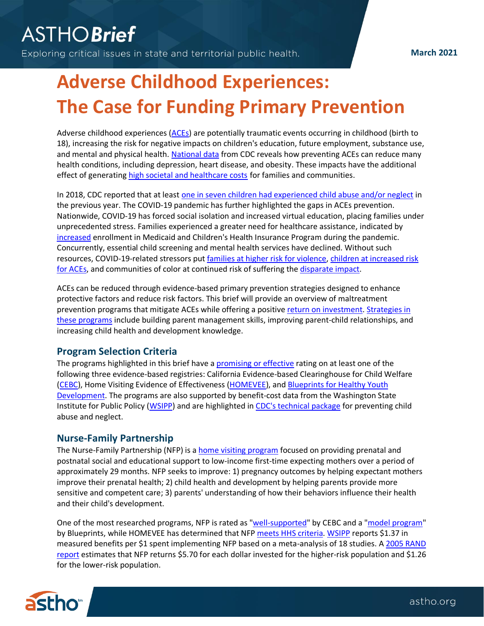Exploring critical issues in state and territorial public health.

# **Adverse Childhood Experiences: The Case for Funding Primary Prevention**

Adverse childhood experiences [\(ACEs\)](https://www.cdc.gov/violenceprevention/childabuseandneglect/aces/fastfact.html?CDC_AA_refVal=https%3A%2F%2Fwww.cdc.gov%2Fviolenceprevention%2Fchildabuseandneglect%2Facestudy%2Faboutace.html) are potentially traumatic events occurring in childhood (birth to 18), increasing the risk for negative impacts on children's education, future employment, substance use, and mental and physical health. [National data](https://www.cdc.gov/mmwr/volumes/68/wr/mm6844e1.htm?s_cid=mm6844e1_w) from CDC reveals how preventing ACEs can reduce many health conditions, including depression, heart disease, and obesity. These impacts have the additional effect of generating [high societal and healthcare costs](https://www.cdc.gov/violenceprevention/pdf/preventingACES.pdf) for families and communities.

In 2018, CDC reported that at least [one in seven children had experienced child abuse and/or neglect](https://www.cdc.gov/violenceprevention/pdf/can/CAN-factsheet_2020.pdf) in the previous year. The COVID-19 pandemic has further highlighted the gaps in ACEs prevention. Nationwide, COVID-19 has forced social isolation and increased virtual education, placing families under unprecedented stress. Families experienced a greater need for healthcare assistance, indicated by [increased](https://www.cms.gov/newsroom/fact-sheets/fact-sheet-service-use-among-medicaid-chip-beneficiaries-age-18-and-under-during-covid-19) enrollment in Medicaid and Children's Health Insurance Program during the pandemic. Concurrently, essential child screening and mental health services have declined. Without such resources, COVID-19-related stressors put [families at higher risk for](https://pediatrics.aappublications.org/content/146/1/e20200982) violence, [children at increased risk](https://www.nashp.org/states-efforts-to-address-adverse-childhood-experiences-is-critical-during-covid-19/)  [for ACEs,](https://www.nashp.org/states-efforts-to-address-adverse-childhood-experiences-is-critical-during-covid-19/) and communities of color at continued risk of suffering th[e disparate impact.](https://www.samhsa.gov/sites/default/files/covid19-behavioral-health-disparities-black-latino-communities.pdf)

ACEs can be reduced through evidence-based primary prevention strategies designed to enhance protective factors and reduce risk factors. This brief will provide an overview of maltreatment prevention programs that mitigate ACEs while offering a positiv[e return on investment.](https://www.impact.upenn.edu/early-childhood-toolkit/why-invest/what-is-the-return-on-investment/) [Strategies in](https://www.researchgate.net/publication/257190859_Victimization_of_children_and_youth_Patterns_of_abuse_response_strategies)  these [programs](https://www.researchgate.net/publication/257190859_Victimization_of_children_and_youth_Patterns_of_abuse_response_strategies) include building parent management skills, improving parent-child relationships, and increasing child health and development knowledge.

# **Program Selection Criteria**

The programs highlighted in this brief have a [promising or effective](https://pdfs.semanticscholar.org/5af6/d6eb4d6341ddf2ea5906a7065293da9f9a9d.pdf) rating on at least one of the following three evidence-based registries: California Evidence-based Clearinghouse for Child Welfare [\(CEBC\)](https://www.cebc4cw.org/leadership/overview/), Home Visiting Evidence of Effectiveness [\(HOMEVEE\)](https://homvee.acf.hhs.gov/), and Blueprints [for Healthy Youth](https://www.blueprintsprograms.org/parent-child-interaction-therapy/)  [Development.](https://www.blueprintsprograms.org/parent-child-interaction-therapy/) The programs are also supported by benefit-cost data from the Washington State Institute for Public Policy [\(WSIPP\)](https://www.wsipp.wa.gov/BenefitCost) and are highlighted i[n CDC's technical package](https://www.cdc.gov/violenceprevention/pdf/CAN-Prevention-Technical-Package.pdf) for preventing child abuse and neglect.

# **Nurse-Family Partnership**

The Nurse-Family Partnership (NFP) is a **home visiting program** focused on providing prenatal and postnatal social and educational support to low-income first-time expecting mothers over a period of approximately 29 months. NFP seeks to improve: 1) pregnancy outcomes by helping expectant mothers improve their prenatal health; 2) child health and development by helping parents provide more sensitive and competent care; 3) parents' understanding of how their behaviors influence their health and their child's development.

One of the most researched programs, NFP is rated as ["well-supported"](https://www.cebc4cw.org/program/nurse-family-partnership/detailed) by CEBC and a ["model program"](https://www.blueprintsprograms.org/programs/35999999/nurse-family-partnership/) by Blueprints, while HOMEVEE has determined that NFP meets HHS [criteria.](https://homvee.acf.hhs.gov/effectiveness/Nurse-Family%20Partnership%20%28NFP%29%C2%AE/In%20Brief) [WSIPP](https://www.wsipp.wa.gov/BenefitCost/ProgramPdf/35/Nurse-Family-Partnership) reports \$1.37 in measured benefits per \$1 spent implementing NFP based on a meta-analysis of 18 studies. A [2005 RAND](https://www.rand.org/content/dam/rand/pubs/monographs/2005/RAND_MG341.pdf)  [report](https://www.rand.org/content/dam/rand/pubs/monographs/2005/RAND_MG341.pdf) estimates that NFP returns \$5.70 for each dollar invested for the higher-risk population and \$1.26 for the lower-risk population.